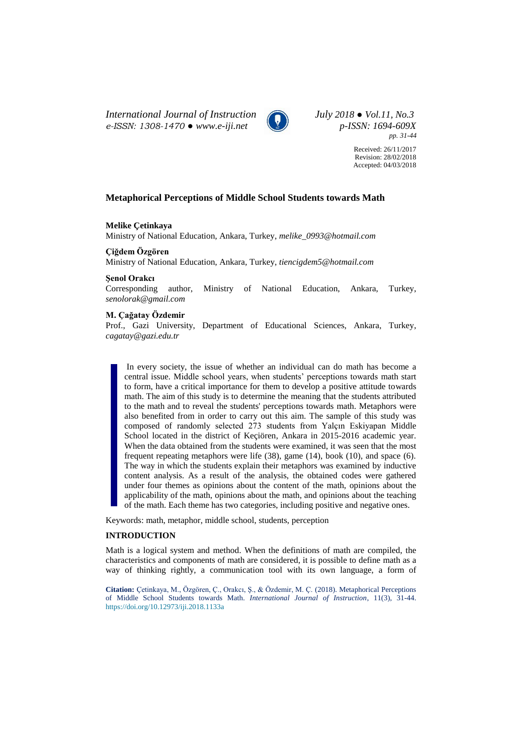*International Journal of Instruction <i>Iuly 2018* ● *Vol.11, No.3 e*-*ISSN: 1308-1470* ● *www.e-iji.net D B B p*-*ISSN: 1694-609X*  $e$ -*ISSN: 1308-1470* ● *www.e-iji.net* 



*pp. 31-44*

Received: 26/11/2017 Revision: 28/02/2018 Accepted: 04/03/2018

# **Metaphorical Perceptions of Middle School Students towards Math**

#### **Melike Çetinkaya**

Ministry of National Education, Ankara, Turkey, *melike\_0993@hotmail.com*

**Çiğdem Özgören**

Ministry of National Education, Ankara, Turkey, *tiencigdem5@hotmail.com*

### **Şenol Orakcı**

Corresponding author, Ministry of National Education, Ankara, Turkey, *senolorak@gmail.com*

# **M. Çağatay Özdemir**

Prof., Gazi University, Department of Educational Sciences, Ankara, Turkey, *cagatay@gazi.edu.tr*

In every society, the issue of whether an individual can do math has become a central issue. Middle school years, when students' perceptions towards math start to form, have a critical importance for them to develop a positive attitude towards math. The aim of this study is to determine the meaning that the students attributed to the math and to reveal the students' perceptions towards math. Metaphors were also benefited from in order to carry out this aim. The sample of this study was composed of randomly selected 273 students from Yalçın Eskiyapan Middle School located in the district of Keçiören, Ankara in 2015-2016 academic year. When the data obtained from the students were examined, it was seen that the most frequent repeating metaphors were life (38), game (14), book (10), and space (6). The way in which the students explain their metaphors was examined by inductive content analysis. As a result of the analysis, the obtained codes were gathered under four themes as opinions about the content of the math, opinions about the applicability of the math, opinions about the math, and opinions about the teaching of the math. Each theme has two categories, including positive and negative ones.

Keywords: math, metaphor, middle school, students, perception

# **INTRODUCTION**

Math is a logical system and method. When the definitions of math are compiled, the characteristics and components of math are considered, it is possible to define math as a way of thinking rightly, a communication tool with its own language, a form of

**Citation:** Çetinkaya, M., Özgören, Ç., Orakcı, Ş., & Özdemir, M. Ç. (2018). Metaphorical Perceptions of Middle School Students towards Math. *International Journal of Instruction*, 11(3), 31-44. <https://doi.org/10.12973/iji.2018.1133a>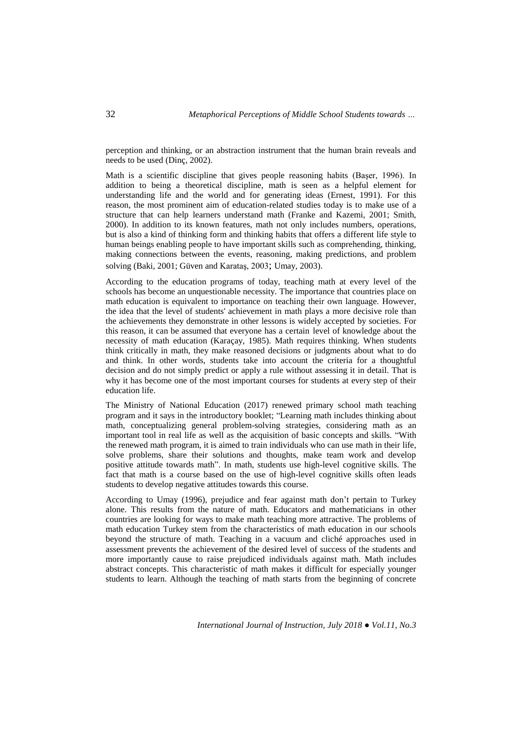perception and thinking, or an abstraction instrument that the human brain reveals and needs to be used (Dinç, 2002).

Math is a scientific discipline that gives people reasoning habits (Başer, 1996). In addition to being a theoretical discipline, math is seen as a helpful element for understanding life and the world and for generating ideas (Ernest, 1991). For this reason, the most prominent aim of education-related studies today is to make use of a structure that can help learners understand math (Franke and Kazemi, 2001; Smith, 2000). In addition to its known features, math not only includes numbers, operations, but is also a kind of thinking form and thinking habits that offers a different life style to human beings enabling people to have important skills such as comprehending, thinking, making connections between the events, reasoning, making predictions, and problem solving (Baki, 2001; Güven and Karataş, 2003; Umay, 2003).

According to the education programs of today, teaching math at every level of the schools has become an unquestionable necessity. The importance that countries place on math education is equivalent to importance on teaching their own language. However, the idea that the level of students' achievement in math plays a more decisive role than the achievements they demonstrate in other lessons is widely accepted by societies. For this reason, it can be assumed that everyone has a certain level of knowledge about the necessity of math education (Karaçay, 1985). Math requires thinking. When students think critically in math, they make reasoned decisions or judgments about what to do and think. In other words, students take into account the criteria for a thoughtful decision and do not simply predict or apply a rule without assessing it in detail. That is why it has become one of the most important courses for students at every step of their education life.

The Ministry of National Education (2017) renewed primary school math teaching program and it says in the introductory booklet; "Learning math includes thinking about math, conceptualizing general problem-solving strategies, considering math as an important tool in real life as well as the acquisition of basic concepts and skills. "With the renewed math program, it is aimed to train individuals who can use math in their life, solve problems, share their solutions and thoughts, make team work and develop positive attitude towards math". In math, students use high-level cognitive skills. The fact that math is a course based on the use of high-level cognitive skills often leads students to develop negative attitudes towards this course.

According to Umay (1996), prejudice and fear against math don't pertain to Turkey alone. This results from the nature of math. Educators and mathematicians in other countries are looking for ways to make math teaching more attractive. The problems of math education Turkey stem from the characteristics of math education in our schools beyond the structure of math. Teaching in a vacuum and cliché approaches used in assessment prevents the achievement of the desired level of success of the students and more importantly cause to raise prejudiced individuals against math. Math includes abstract concepts. This characteristic of math makes it difficult for especially younger students to learn. Although the teaching of math starts from the beginning of concrete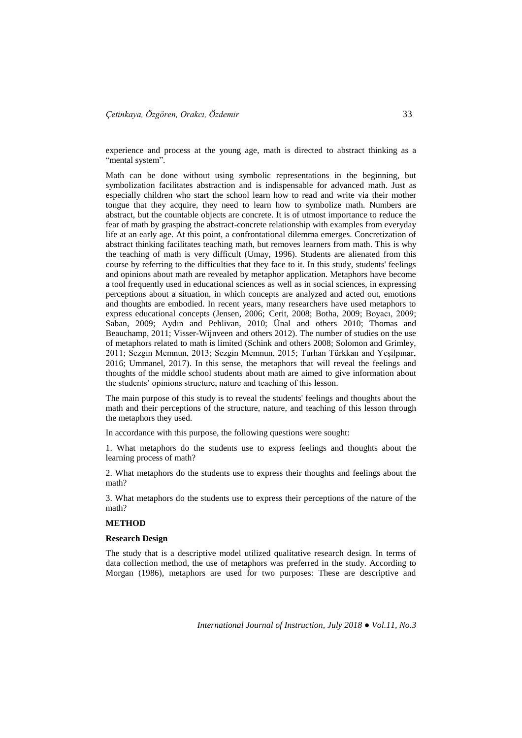experience and process at the young age, math is directed to abstract thinking as a "mental system".

Math can be done without using symbolic representations in the beginning, but symbolization facilitates abstraction and is indispensable for advanced math. Just as especially children who start the school learn how to read and write via their mother tongue that they acquire, they need to learn how to symbolize math. Numbers are abstract, but the countable objects are concrete. It is of utmost importance to reduce the fear of math by grasping the abstract-concrete relationship with examples from everyday life at an early age. At this point, a confrontational dilemma emerges. Concretization of abstract thinking facilitates teaching math, but removes learners from math. This is why the teaching of math is very difficult (Umay, 1996). Students are alienated from this course by referring to the difficulties that they face to it. In this study, students' feelings and opinions about math are revealed by metaphor application. Metaphors have become a tool frequently used in educational sciences as well as in social sciences, in expressing perceptions about a situation, in which concepts are analyzed and acted out, emotions and thoughts are embodied. In recent years, many researchers have used metaphors to express educational concepts (Jensen, 2006; Cerit, 2008; Botha, 2009; Boyacı, 2009; Saban, 2009; Aydın and Pehlivan, 2010; Ünal and others 2010; Thomas and Beauchamp, 2011; Visser-Wijnveen and others 2012). The number of studies on the use of metaphors related to math is limited (Schink and others 2008; Solomon and Grimley, 2011; Sezgin Memnun, 2013; Sezgin Memnun, 2015; Turhan Türkkan and Yeşilpınar, 2016; Ummanel, 2017). In this sense, the metaphors that will reveal the feelings and thoughts of the middle school students about math are aimed to give information about the students' opinions structure, nature and teaching of this lesson.

The main purpose of this study is to reveal the students' feelings and thoughts about the math and their perceptions of the structure, nature, and teaching of this lesson through the metaphors they used.

In accordance with this purpose, the following questions were sought:

1. What metaphors do the students use to express feelings and thoughts about the learning process of math?

2. What metaphors do the students use to express their thoughts and feelings about the math?

3. What metaphors do the students use to express their perceptions of the nature of the math?

## **METHOD**

### **Research Design**

The study that is a descriptive model utilized qualitative research design. In terms of data collection method, the use of metaphors was preferred in the study. According to Morgan (1986), metaphors are used for two purposes: These are descriptive and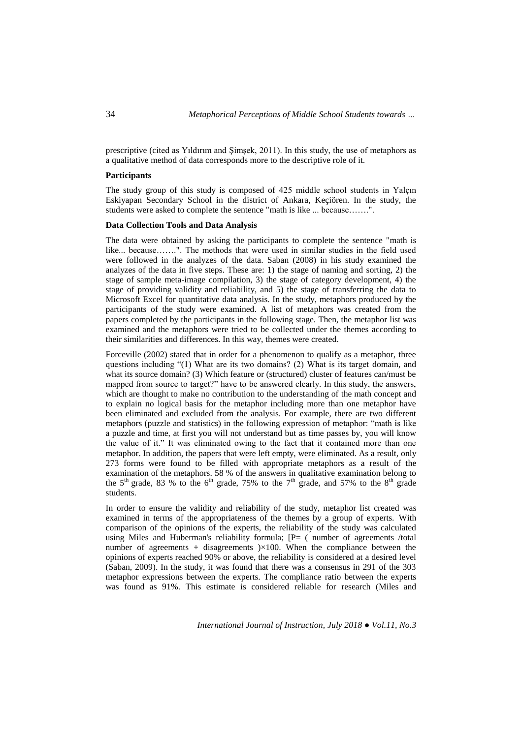prescriptive (cited as Yıldırım and Şimşek, 2011). In this study, the use of metaphors as a qualitative method of data corresponds more to the descriptive role of it.

### **Participants**

The study group of this study is composed of 425 middle school students in Yalçın Eskiyapan Secondary School in the district of Ankara, Keçiören. In the study, the students were asked to complete the sentence "math is like ... because…….".

#### **Data Collection Tools and Data Analysis**

The data were obtained by asking the participants to complete the sentence "math is like... because…….". The methods that were used in similar studies in the field used were followed in the analyzes of the data. Saban (2008) in his study examined the analyzes of the data in five steps. These are: 1) the stage of naming and sorting, 2) the stage of sample meta-image compilation, 3) the stage of category development, 4) the stage of providing validity and reliability, and 5) the stage of transferring the data to Microsoft Excel for quantitative data analysis. In the study, metaphors produced by the participants of the study were examined. A list of metaphors was created from the papers completed by the participants in the following stage. Then, the metaphor list was examined and the metaphors were tried to be collected under the themes according to their similarities and differences. In this way, themes were created.

Forceville (2002) stated that in order for a phenomenon to qualify as a metaphor, three questions including "(1) What are its two domains? (2) What is its target domain, and what its source domain? (3) Which feature or (structured) cluster of features can/must be mapped from source to target?" have to be answered clearly. In this study, the answers, which are thought to make no contribution to the understanding of the math concept and to explain no logical basis for the metaphor including more than one metaphor have been eliminated and excluded from the analysis. For example, there are two different metaphors (puzzle and statistics) in the following expression of metaphor: "math is like a puzzle and time, at first you will not understand but as time passes by, you will know the value of it." It was eliminated owing to the fact that it contained more than one metaphor. In addition, the papers that were left empty, were eliminated. As a result, only 273 forms were found to be filled with appropriate metaphors as a result of the examination of the metaphors. 58 % of the answers in qualitative examination belong to the  $5<sup>th</sup>$  grade, 83 % to the  $6<sup>th</sup>$  grade, 75% to the  $7<sup>th</sup>$  grade, and 57% to the  $8<sup>th</sup>$  grade students.

In order to ensure the validity and reliability of the study, metaphor list created was examined in terms of the appropriateness of the themes by a group of experts. With comparison of the opinions of the experts, the reliability of the study was calculated using Miles and Huberman's reliability formula; [P= ( number of agreements /total number of agreements + disagreements  $)\times 100$ . When the compliance between the opinions of experts reached 90% or above, the reliability is considered at a desired level (Saban, 2009). In the study, it was found that there was a consensus in 291 of the 303 metaphor expressions between the experts. The compliance ratio between the experts was found as 91%. This estimate is considered reliable for research (Miles and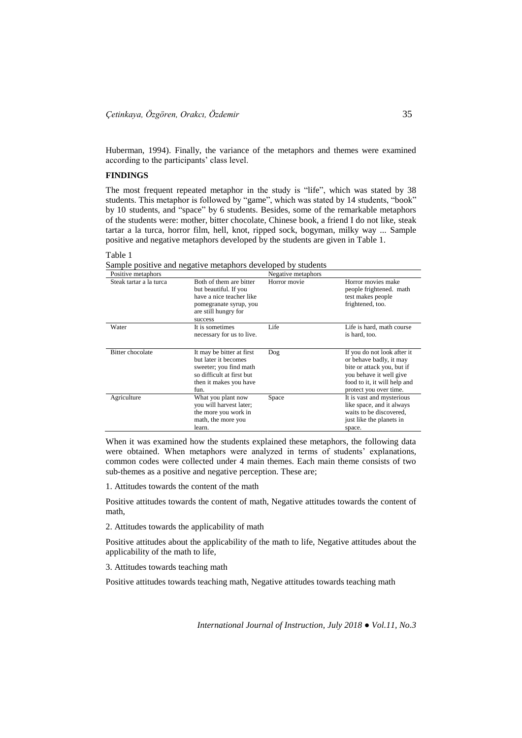Huberman, 1994). Finally, the variance of the metaphors and themes were examined according to the participants' class level.

# **FINDINGS**

The most frequent repeated metaphor in the study is "life", which was stated by 38 students. This metaphor is followed by "game", which was stated by 14 students, "book" by 10 students, and "space" by 6 students. Besides, some of the remarkable metaphors of the students were: mother, bitter chocolate, Chinese book, a friend I do not like, steak tartar a la turca, horror film, hell, knot, ripped sock, bogyman, milky way ... Sample positive and negative metaphors developed by the students are given in Table 1.

### Table 1

Sample positive and negative metaphors developed by students

| Positive metaphors      |                                                                                                                                            | Negative metaphors |                                                                                                                                                                           |
|-------------------------|--------------------------------------------------------------------------------------------------------------------------------------------|--------------------|---------------------------------------------------------------------------------------------------------------------------------------------------------------------------|
| Steak tartar a la turca | Both of them are bitter<br>but beautiful. If you<br>have a nice teacher like<br>pomegranate syrup, you<br>are still hungry for<br>success  | Horror movie       | Horror movies make<br>people frightened. math<br>test makes people<br>frightened, too.                                                                                    |
| Water                   | It is sometimes<br>necessary for us to live.                                                                                               | Life               | Life is hard, math course<br>is hard, too.                                                                                                                                |
| Bitter chocolate        | It may be bitter at first<br>but later it becomes<br>sweeter; you find math<br>so difficult at first but<br>then it makes you have<br>fun. | Dog                | If you do not look after it<br>or behave badly, it may<br>bite or attack you, but if<br>you behave it well give<br>food to it, it will help and<br>protect you over time. |
| Agriculture             | What you plant now<br>you will harvest later;<br>the more you work in<br>math, the more you<br>learn.                                      | Space              | It is vast and mysterious<br>like space, and it always<br>waits to be discovered.<br>just like the planets in<br>space.                                                   |

When it was examined how the students explained these metaphors, the following data were obtained. When metaphors were analyzed in terms of students' explanations, common codes were collected under 4 main themes. Each main theme consists of two sub-themes as a positive and negative perception. These are;

1. Attitudes towards the content of the math

Positive attitudes towards the content of math, Negative attitudes towards the content of math,

2. Attitudes towards the applicability of math

Positive attitudes about the applicability of the math to life, Negative attitudes about the applicability of the math to life,

3. Attitudes towards teaching math

Positive attitudes towards teaching math, Negative attitudes towards teaching math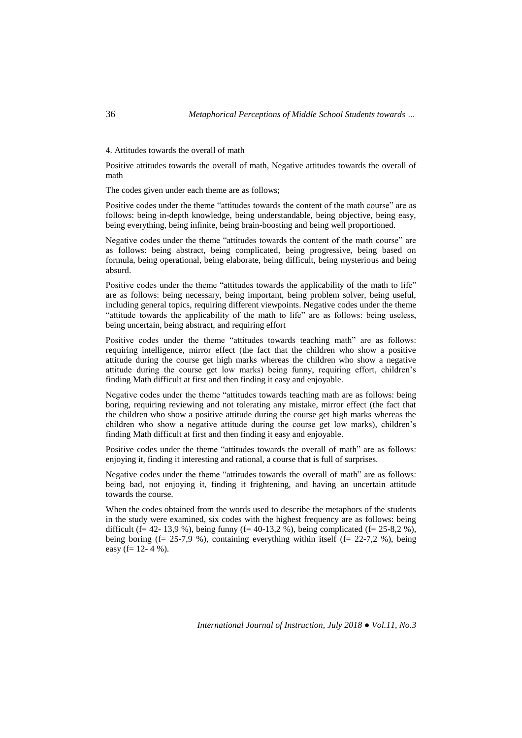## 4. Attitudes towards the overall of math

Positive attitudes towards the overall of math, Negative attitudes towards the overall of math

The codes given under each theme are as follows;

Positive codes under the theme "attitudes towards the content of the math course" are as follows: being in-depth knowledge, being understandable, being objective, being easy, being everything, being infinite, being brain-boosting and being well proportioned.

Negative codes under the theme "attitudes towards the content of the math course" are as follows: being abstract, being complicated, being progressive, being based on formula, being operational, being elaborate, being difficult, being mysterious and being absurd.

Positive codes under the theme "attitudes towards the applicability of the math to life" are as follows: being necessary, being important, being problem solver, being useful, including general topics, requiring different viewpoints. Negative codes under the theme "attitude towards the applicability of the math to life" are as follows: being useless, being uncertain, being abstract, and requiring effort

Positive codes under the theme "attitudes towards teaching math" are as follows: requiring intelligence, mirror effect (the fact that the children who show a positive attitude during the course get high marks whereas the children who show a negative attitude during the course get low marks) being funny, requiring effort, children's finding Math difficult at first and then finding it easy and enjoyable.

Negative codes under the theme "attitudes towards teaching math are as follows: being boring, requiring reviewing and not tolerating any mistake, mirror effect (the fact that the children who show a positive attitude during the course get high marks whereas the children who show a negative attitude during the course get low marks), children's finding Math difficult at first and then finding it easy and enjoyable.

Positive codes under the theme "attitudes towards the overall of math" are as follows: enjoying it, finding it interesting and rational, a course that is full of surprises.

Negative codes under the theme "attitudes towards the overall of math" are as follows: being bad, not enjoying it, finding it frightening, and having an uncertain attitude towards the course.

When the codes obtained from the words used to describe the metaphors of the students in the study were examined, six codes with the highest frequency are as follows: being difficult (f= 42- 13,9 %), being funny (f= 40-13,2 %), being complicated (f= 25-8,2 %), being boring (f= 25-7,9 %), containing everything within itself (f= 22-7,2 %), being easy (f=  $12-4$  %).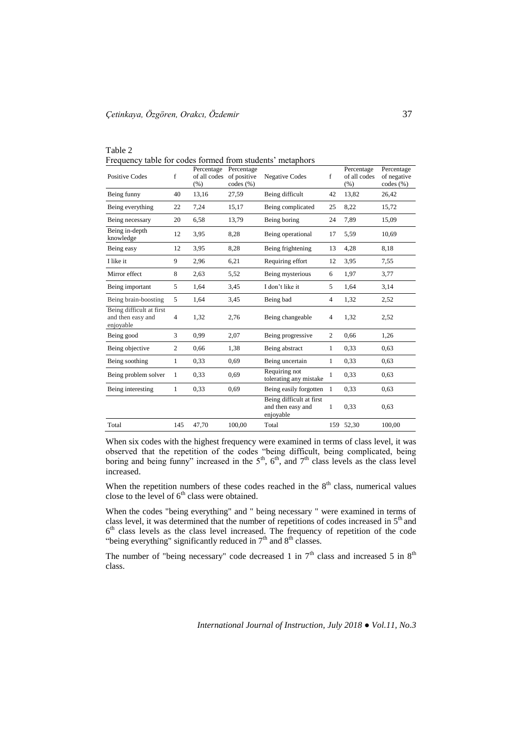| Table 2                                                   |  |
|-----------------------------------------------------------|--|
| Frequency table for codes formed from students' metaphors |  |
| Percentage Percentage                                     |  |

| Positive Codes                                             | f              | Percentage<br>of all codes<br>(% ) | Percentage<br>of positive<br>codes (%) | <b>Negative Codes</b>                                      |                | Percentage<br>of all codes<br>(% ) | Percentage<br>of negative<br>codes (%) |
|------------------------------------------------------------|----------------|------------------------------------|----------------------------------------|------------------------------------------------------------|----------------|------------------------------------|----------------------------------------|
| Being funny                                                | 40             | 13,16                              | 27,59                                  | Being difficult                                            | 42             | 13.82                              | 26,42                                  |
| Being everything                                           | 22             | 7,24                               | 15,17                                  | Being complicated                                          | 25             | 8,22                               | 15,72                                  |
| Being necessary                                            | 20             | 6.58                               | 13,79                                  | Being boring                                               | 24             | 7,89                               | 15,09                                  |
| Being in-depth<br>knowledge                                | 12             | 3.95                               | 8,28                                   | Being operational<br>17                                    |                | 5,59                               | 10,69                                  |
| Being easy                                                 | 12             | 3,95                               | 8,28                                   | Being frightening<br>13                                    |                | 4,28                               | 8.18                                   |
| I like it                                                  | 9              | 2,96                               | 6,21                                   | Requiring effort<br>12                                     |                | 3.95                               | 7.55                                   |
| Mirror effect                                              | 8              | 2.63                               | 5,52                                   | Being mysterious<br>6                                      |                | 1,97                               | 3,77                                   |
| Being important                                            | 5              | 1,64                               | 3,45                                   | I don't like it                                            | 5              | 1,64                               | 3,14                                   |
| Being brain-boosting                                       | 5              | 1,64                               | 3,45                                   | Being bad                                                  | $\overline{4}$ | 1,32                               | 2,52                                   |
| Being difficult at first<br>and then easy and<br>enjoyable | 4              | 1,32                               | 2,76                                   | Being changeable<br>4                                      |                | 1.32                               | 2,52                                   |
| Being good                                                 | 3              | 0.99                               | 2,07                                   | Being progressive                                          | $\overline{c}$ | 0,66                               | 1,26                                   |
| Being objective                                            | $\overline{2}$ | 0,66                               | 1,38                                   | Being abstract                                             | 1              | 0.33                               | 0.63                                   |
| Being soothing                                             | $\mathbf{1}$   | 0,33                               | 0.69                                   | Being uncertain                                            |                | 0.33                               | 0.63                                   |
| Being problem solver                                       | 1              | 0.33                               | 0.69                                   | Requiring not<br>tolerating any mistake                    | 1              | 0.33                               | 0.63                                   |
| Being interesting                                          | 1              | 0.33                               | 0.69                                   | Being easily forgotten                                     | 1              | 0.33                               | 0.63                                   |
|                                                            |                |                                    |                                        | Being difficult at first<br>and then easy and<br>enjoyable | 1              | 0,33                               | 0.63                                   |
| Total                                                      | 145            | 47,70                              | 100,00                                 | Total                                                      |                | 159 52,30                          | 100,00                                 |

When six codes with the highest frequency were examined in terms of class level, it was observed that the repetition of the codes "being difficult, being complicated, being boring and being funny" increased in the  $5<sup>th</sup>$ ,  $6<sup>th</sup>$ , and  $7<sup>th</sup>$  class levels as the class level increased.

When the repetition numbers of these codes reached in the  $8<sup>th</sup>$  class, numerical values close to the level of  $6<sup>th</sup>$  class were obtained.

When the codes "being everything" and " being necessary " were examined in terms of class level, it was determined that the number of repetitions of codes increased in 5<sup>th</sup> and 6<sup>th</sup> class levels as the class level increased. The frequency of repetition of the code "being everything" significantly reduced in  $7<sup>th</sup>$  and  $8<sup>th</sup>$  classes.

The number of "being necessary" code decreased 1 in  $7<sup>th</sup>$  class and increased 5 in  $8<sup>th</sup>$ class.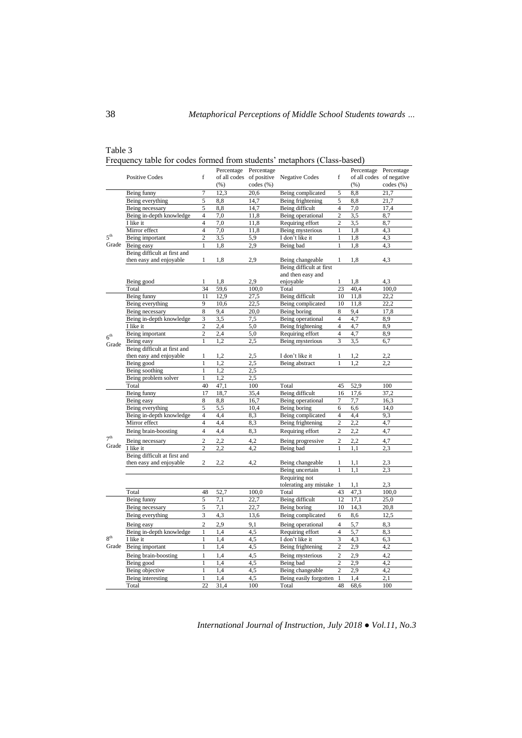| Table 3                                                                 |  |
|-------------------------------------------------------------------------|--|
| Frequency table for codes formed from students' metaphors (Class-based) |  |

| Prequency table for codes formed from students inetaphors (Class-based) |                                |                |                            |                           |                                   |                |                                                   |             |
|-------------------------------------------------------------------------|--------------------------------|----------------|----------------------------|---------------------------|-----------------------------------|----------------|---------------------------------------------------|-------------|
|                                                                         | <b>Positive Codes</b>          | f              | Percentage<br>of all codes | Percentage<br>of positive | <b>Negative Codes</b>             | f              | Percentage Percentage<br>of all codes of negative |             |
|                                                                         |                                |                | (% )                       | codes (%)                 |                                   |                | (%)                                               | codes(%)    |
|                                                                         | Being funny                    | 7              | 12,3                       | 20.6                      | Being complicated                 | 5              | 8.8                                               | 21.7        |
| 5 <sup>th</sup>                                                         | Being everything               | 5              | 8,8                        | 14,7                      | Being frightening                 | 5              | 8,8                                               | 21,7        |
|                                                                         | Being necessary                | 5              | 8,8                        | 14,7                      | Being difficult                   | $\overline{4}$ | 7,0                                               | 17,4        |
|                                                                         | Being in-depth knowledge       | $\overline{4}$ | 7.0                        | 11,8                      | Being operational                 | $\overline{2}$ | 3,5                                               | 8,7         |
|                                                                         | I like it                      | $\overline{4}$ | 7,0                        | 11,8                      | Requiring effort                  | $\overline{c}$ | 3,5                                               | 8,7         |
|                                                                         | Mirror effect                  | $\overline{4}$ | 7.0                        | 11.8                      | Being mysterious                  | $\mathbf{1}$   | 1,8                                               | 4,3         |
|                                                                         | Being important                | $\overline{2}$ | 3,5                        | 5,9                       | I don't like it                   | $\mathbf{1}$   | 1,8                                               | 4,3         |
| Grade                                                                   | Being easy                     | 1              | 1,8                        | 2,9                       | Being bad                         | $\mathbf{1}$   | 1,8                                               | 4,3         |
|                                                                         | Being difficult at first and   |                |                            |                           |                                   |                |                                                   |             |
|                                                                         | then easy and enjoyable        | $\mathbf{1}$   | 1,8                        | 2,9                       | Being changeable                  | 1              | 1,8                                               | 4,3         |
|                                                                         |                                |                |                            |                           | Being difficult at first          |                |                                                   |             |
|                                                                         |                                |                |                            |                           | and then easy and                 |                |                                                   |             |
|                                                                         | Being good                     | 1              | 1,8                        | 2,9                       | enjoyable                         | 1              | 1,8                                               | 4,3         |
|                                                                         | Total                          | 34             | 59.6                       | 100.0                     | Total                             | 23             | 40.4                                              | 100.0       |
|                                                                         | Being funny                    | 11             | 12,9                       | 27,5                      | Being difficult                   | 10             | 11,8                                              | 22,2        |
|                                                                         | Being everything               | 9              | 10,6                       | 22,5                      | Being complicated                 | 10             | 11,8                                              | 22,2        |
|                                                                         | Being necessary                | 8              | 9,4                        | 20,0                      | Being boring                      | 8              | 9,4                                               | 17,8        |
|                                                                         | Being in-depth knowledge       | $\overline{3}$ | 3,5                        | 7,5                       | Being operational                 | $\overline{4}$ | 4.7                                               | 8,9         |
|                                                                         | I like it                      | $\overline{2}$ | 2,4                        | 5,0                       | Being frightening                 | $\overline{4}$ | 4,7                                               | 8,9         |
| 6 <sup>th</sup>                                                         | Being important                | $\overline{c}$ | 2,4                        | 5,0                       | Requiring effort                  | $\overline{4}$ | 4,7                                               | 8,9         |
| Grade                                                                   | Being easy                     | $\mathbf{1}$   | 1,2                        | 2,5                       | Being mysterious                  | 3              | 3,5                                               | 6,7         |
|                                                                         | Being difficult at first and   |                |                            |                           |                                   |                |                                                   |             |
|                                                                         | then easy and enjoyable        | 1              | 1,2                        | 2,5                       | I don't like it                   | 1              | 1,2                                               | 2,2         |
|                                                                         | Being good                     | $\mathbf{1}$   | 1.2                        | 2,5                       | Being abstract                    | 1              | 1.2                                               | 2.2         |
|                                                                         | Being soothing                 | $\mathbf{1}$   | 1,2                        | 2,5                       |                                   |                |                                                   |             |
|                                                                         | Being problem solver           | $\mathbf{1}$   | 1,2                        | 2,5                       |                                   |                |                                                   |             |
|                                                                         | Total                          | 40<br>17       | 47,1                       | 100<br>35,4               | Total                             | 45<br>16       | 52,9                                              | 100<br>37,2 |
|                                                                         | Being funny                    | 8              | 18,7<br>8,8                | 16,7                      | Being difficult                   | $\overline{7}$ | 17,6<br>7,7                                       | 16.3        |
|                                                                         | Being easy<br>Being everything | 5              | 5,5                        | 10,4                      | Being operational<br>Being boring | 6              |                                                   | 14,0        |
|                                                                         | Being in-depth knowledge       | $\overline{4}$ | 4,4                        | 8,3                       | Being complicated                 | $\overline{4}$ | 6,6<br>4,4                                        | 9,3         |
|                                                                         | Mirror effect                  | $\overline{4}$ | 4,4                        | 8,3                       |                                   | $\overline{c}$ | 2,2                                               | 4,7         |
|                                                                         |                                |                |                            |                           | Being frightening                 |                |                                                   |             |
|                                                                         | Being brain-boosting           | $\overline{4}$ | 4,4                        | 8,3                       | Requiring effort                  | $\overline{c}$ | 2,2                                               | 4,7         |
| 7 <sup>th</sup>                                                         | Being necessary                | $\overline{c}$ | 2,2                        | 4,2                       | Being progressive                 | $\overline{c}$ | 2,2                                               | 4,7         |
| Grade                                                                   | I like it                      | $\overline{c}$ | 2,2                        | 4,2                       | Being bad                         | $\mathbf{1}$   | 1,1                                               | 2,3         |
|                                                                         | Being difficult at first and   |                |                            |                           |                                   |                |                                                   |             |
|                                                                         | then easy and enjoyable        | $\overline{c}$ | 2,2                        | 4,2                       | Being changeable                  | $\mathbf{1}$   | 1,1                                               | 2,3         |
|                                                                         |                                |                |                            |                           | Being uncertain                   | 1              | 1.1                                               | 2.3         |
|                                                                         |                                |                |                            |                           | Requiring not                     |                |                                                   |             |
|                                                                         |                                |                |                            |                           | tolerating any mistake            | -1             | 1,1                                               | 2,3         |
|                                                                         | Total                          | 48             | 52,7                       | 100,0                     | Total                             | 43             | 47,3                                              | 100,0       |
| 8 <sup>th</sup>                                                         | Being funny                    | 5              | 7,1                        | 22,7                      | Being difficult                   | 12             | 17,1                                              | 25,0        |
|                                                                         | Being necessary                | 5              | 7.1                        | 22,7                      | Being boring                      | 10             | 14,3                                              | 20,8        |
|                                                                         | Being everything               | 3              | 4,3                        | 13,6                      | Being complicated                 | 6              | 8,6                                               | 12,5        |
|                                                                         | Being easy                     | $\overline{c}$ | 2,9                        | 9,1                       | Being operational                 | $\overline{4}$ | 5,7                                               | 8,3         |
|                                                                         | Being in-depth knowledge       | 1              | 1.4                        | 4,5                       | Requiring effort                  | $\overline{4}$ | 5,7                                               | 8,3         |
|                                                                         | I like it                      | $\mathbf{1}$   | 1,4                        | 4,5                       | I don't like it                   | 3              | 4,3                                               | 6,3         |
| Grade                                                                   | Being important                | $\mathbf{1}$   | 1,4                        | 4,5                       | Being frightening                 | $\overline{c}$ | 2,9                                               | 4,2         |
|                                                                         | Being brain-boosting           | $\mathbf{1}$   | 1,4                        | 4,5                       | Being mysterious                  | $\overline{c}$ | 2,9                                               | 4,2         |
|                                                                         | Being good                     | ī              | 1,4                        | 4,5                       | Being bad                         | $\overline{2}$ | 2,9                                               | 4,2         |
|                                                                         | Being objective                | $\,1$          | 1,4                        | 4,5                       | Being changeable                  | $\overline{c}$ | 2.9                                               | 4,2         |
|                                                                         | Being interesting              | $\mathbf{1}$   | 1,4                        | 4,5                       | Being easily forgotten            | $\mathbf{1}$   | 1,4                                               | 2,1         |
|                                                                         | Total                          | 22             | 31.4                       | 100                       | Total                             | 48             | 68.6                                              | 100         |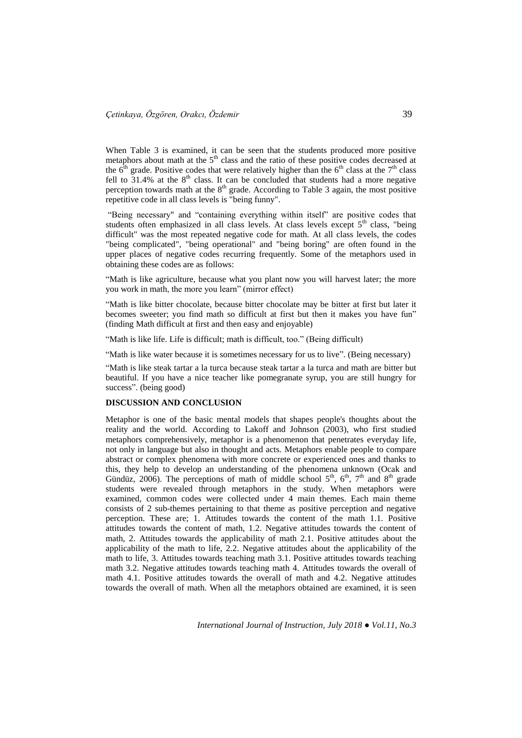When Table 3 is examined, it can be seen that the students produced more positive metaphors about math at the  $5<sup>th</sup>$  class and the ratio of these positive codes decreased at the  $6<sup>th</sup>$  grade. Positive codes that were relatively higher than the  $6<sup>th</sup>$  class at the  $7<sup>th</sup>$  class fell to  $31.4\%$  at the  $8<sup>th</sup>$  class. It can be concluded that students had a more negative perception towards math at the  $8<sup>th</sup>$  grade. According to Table 3 again, the most positive repetitive code in all class levels is "being funny".

"Being necessary" and "containing everything within itself" are positive codes that students often emphasized in all class levels. At class levels except  $5<sup>th</sup>$  class, "being difficult" was the most repeated negative code for math. At all class levels, the codes "being complicated", "being operational" and "being boring" are often found in the upper places of negative codes recurring frequently. Some of the metaphors used in obtaining these codes are as follows:

"Math is like agriculture, because what you plant now you will harvest later; the more you work in math, the more you learn" (mirror effect)

"Math is like bitter chocolate, because bitter chocolate may be bitter at first but later it becomes sweeter; you find math so difficult at first but then it makes you have fun" (finding Math difficult at first and then easy and enjoyable)

"Math is like life. Life is difficult; math is difficult, too." (Being difficult)

"Math is like water because it is sometimes necessary for us to live". (Being necessary)

"Math is like steak tartar a la turca because steak tartar a la turca and math are bitter but beautiful. If you have a nice teacher like pomegranate syrup, you are still hungry for success". (being good)

#### **DISCUSSION AND CONCLUSION**

Metaphor is one of the basic mental models that shapes people's thoughts about the reality and the world. According to Lakoff and Johnson (2003), who first studied metaphors comprehensively, metaphor is a phenomenon that penetrates everyday life, not only in language but also in thought and acts. Metaphors enable people to compare abstract or complex phenomena with more concrete or experienced ones and thanks to this, they help to develop an understanding of the phenomena unknown (Ocak and Gündüz, 2006). The perceptions of math of middle school  $5<sup>th</sup>$ ,  $6<sup>th</sup>$ ,  $7<sup>th</sup>$  and  $8<sup>th</sup>$  grade students were revealed through metaphors in the study. When metaphors were examined, common codes were collected under 4 main themes. Each main theme consists of 2 sub-themes pertaining to that theme as positive perception and negative perception. These are; 1. Attitudes towards the content of the math 1.1. Positive attitudes towards the content of math, 1.2. Negative attitudes towards the content of math, 2. Attitudes towards the applicability of math 2.1. Positive attitudes about the applicability of the math to life, 2.2. Negative attitudes about the applicability of the math to life, 3. Attitudes towards teaching math 3.1. Positive attitudes towards teaching math 3.2. Negative attitudes towards teaching math 4. Attitudes towards the overall of math 4.1. Positive attitudes towards the overall of math and 4.2. Negative attitudes towards the overall of math. When all the metaphors obtained are examined, it is seen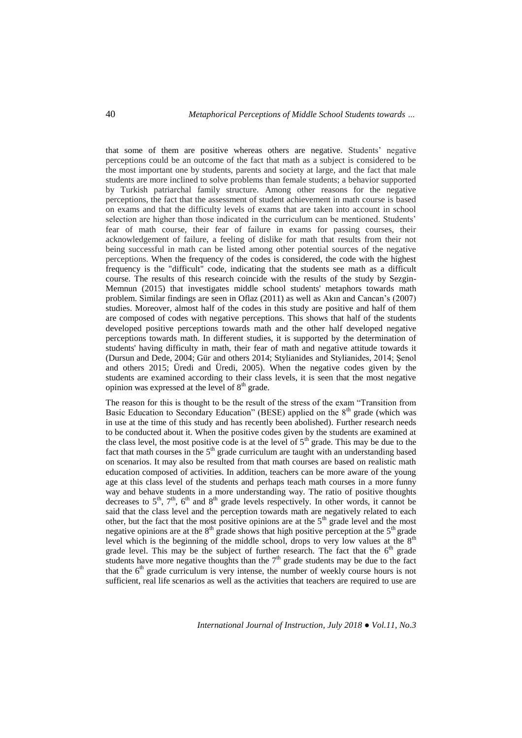that some of them are positive whereas others are negative. Students' negative perceptions could be an outcome of the fact that math as a subject is considered to be the most important one by students, parents and society at large, and the fact that male students are more inclined to solve problems than female students; a behavior supported by Turkish patriarchal family structure. Among other reasons for the negative perceptions, the fact that the assessment of student achievement in math course is based on exams and that the difficulty levels of exams that are taken into account in school selection are higher than those indicated in the curriculum can be mentioned. Students' fear of math course, their fear of failure in exams for passing courses, their acknowledgement of failure, a feeling of dislike for math that results from their not being successful in math can be listed among other potential sources of the negative perceptions. When the frequency of the codes is considered, the code with the highest frequency is the "difficult" code, indicating that the students see math as a difficult course. The results of this research coincide with the results of the study by Sezgin-Memnun (2015) that investigates middle school students' metaphors towards math problem. Similar findings are seen in Oflaz (2011) as well as Akın and Cancan's (2007) studies. Moreover, almost half of the codes in this study are positive and half of them are composed of codes with negative perceptions. This shows that half of the students developed positive perceptions towards math and the other half developed negative perceptions towards math. In different studies, it is supported by the determination of students' having difficulty in math, their fear of math and negative attitude towards it (Dursun and Dede, 2004; Gür and others 2014; Stylianides and Stylianides, 2014; Şenol and others 2015; Üredi and Üredi, 2005). When the negative codes given by the students are examined according to their class levels, it is seen that the most negative opinion was expressed at the level of  $8<sup>th</sup>$  grade.

The reason for this is thought to be the result of the stress of the exam "Transition from Basic Education to Secondary Education" (BESE) applied on the  $8<sup>th</sup>$  grade (which was in use at the time of this study and has recently been abolished). Further research needs to be conducted about it. When the positive codes given by the students are examined at the class level, the most positive code is at the level of  $5<sup>th</sup>$  grade. This may be due to the fact that math courses in the  $5<sup>th</sup>$  grade curriculum are taught with an understanding based on scenarios. It may also be resulted from that math courses are based on realistic math education composed of activities. In addition, teachers can be more aware of the young age at this class level of the students and perhaps teach math courses in a more funny way and behave students in a more understanding way. The ratio of positive thoughts decreases to  $5<sup>th</sup>$ ,  $7<sup>th</sup>$ ,  $6<sup>th</sup>$  and  $8<sup>th</sup>$  grade levels respectively. In other words, it cannot be said that the class level and the perception towards math are negatively related to each other, but the fact that the most positive opinions are at the  $5<sup>th</sup>$  grade level and the most negative opinions are at the  $8<sup>th</sup>$  grade shows that high positive perception at the  $5<sup>th</sup>$  grade level which is the beginning of the middle school, drops to very low values at the  $8<sup>th</sup>$ grade level. This may be the subject of further research. The fact that the  $6<sup>th</sup>$  grade students have more negative thoughts than the  $7<sup>th</sup>$  grade students may be due to the fact that the  $6<sup>th</sup>$  grade curriculum is very intense, the number of weekly course hours is not sufficient, real life scenarios as well as the activities that teachers are required to use are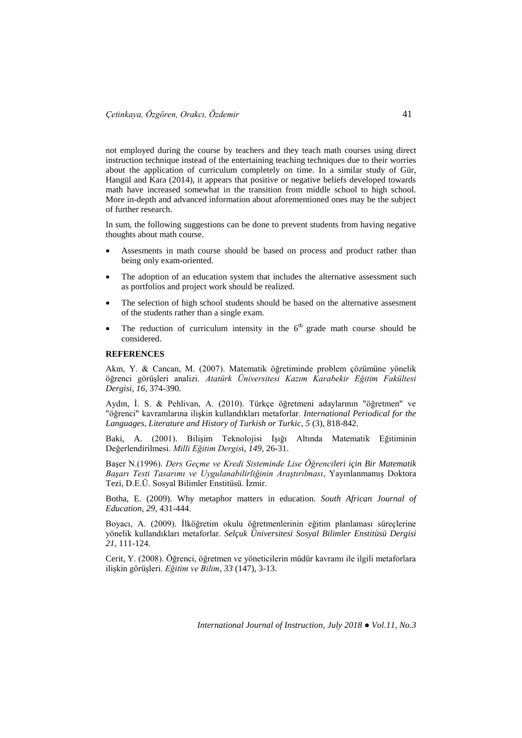not employed during the course by teachers and they teach math courses using direct instruction technique instead of the entertaining teaching techniques due to their worries about the application of curriculum completely on time. In a similar study of Gür, Hangül and Kara (2014), it appears that positive or negative beliefs developed towards math have increased somewhat in the transition from middle school to high school. More in-depth and advanced information about aforementioned ones may be the subject of further research.

In sum, the following suggestions can be done to prevent students from having negative thoughts about math course.

- Assesments in math course should be based on process and product rather than being only exam-oriented.
- The adoption of an education system that includes the alternative assessment such as portfolios and project work should be realized.
- The selection of high school students should be based on the alternative assesment of the students rather than a single exam.
- The reduction of curriculum intensity in the  $6<sup>th</sup>$  grade math course should be considered.

#### **REFERENCES**

Akın, Y. & Cancan, M. (2007). Matematik öğretiminde problem çözümüne yönelik öğrenci görüşleri analizi. *Atatürk Üniversitesi Kazım Karabekir Eğitim Fakültesi Dergisi, 16*, 374-390.

Aydın, İ. S. & Pehlivan, A. (2010). Türkçe öğretmeni adaylarının "öğretmen" ve "öğrenci" kavramlarına ilişkin kullandıkları metaforlar. *International Periodical for the Languages, Literature and History of Turkish or Turkic*, *5* (3), 818-842.

Baki, A. (2001). Bilişim Teknolojisi Işığı Altında Matematik Eğitiminin Değerlendirilmesi. *Milli Eğitim Dergis*i, *149*, 26-31.

Başer N.(1996). *Ders Geçme ve Kredi Sisteminde Lise Öğrencileri için Bir Matematik Başarı Testi Tasarımı ve Uygulanabilirliğinin Araştırılması*, Yayınlanmamış Doktora Tezi, D.E.Ü. Sosyal Bilimler Enstitüsü. İzmir.

Botha, E. (2009). Why metaphor matters in education. *South African Journal of Education*, *29*, 431-444.

Boyacı, A. (2009). İlköğretim okulu öğretmenlerinin eğitim planlaması süreçlerine yönelik kullandıkları metaforlar. *Selçuk Üniversitesi Sosyal Bilimler Enstitüsü Dergisi 21*, 111-124.

Cerit, Y. (2008). Öğrenci, öğretmen ve yöneticilerin müdür kavramı ile ilgili metaforlara ilişkin görüşleri. *Eğitim ve Bilim*, *33* (147), 3-13.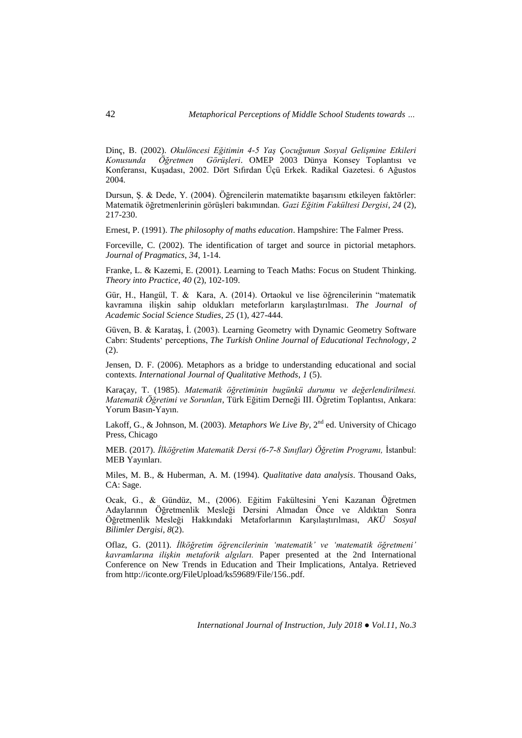Dinç, B. (2002). *Okulöncesi Eğitimin 4-5 Yaş Çocuğunun Sosyal Gelişmine Etkileri Konusunda Öğretmen Görüşleri*. OMEP 2003 Dünya Konsey Toplantısı ve Konferansı, Kuşadası, 2002. Dört Sıfırdan Üçü Erkek. Radikal Gazetesi. 6 Ağustos 2004.

Dursun, Ş. & Dede, Y. (2004). Öğrencilerin matematikte başarısını etkileyen faktörler: Matematik öğretmenlerinin görüşleri bakımından. *Gazi Eğitim Fakültesi Dergisi*, *24* (2), 217-230.

Ernest, P. (1991). *The philosophy of maths education*. Hampshire: The Falmer Press.

Forceville, C. (2002). The identification of target and source in pictorial metaphors. *Journal of Pragmatics*, *34*, 1-14.

Franke, L. & Kazemi, E. (2001). Learning to Teach Maths: Focus on Student Thinking. *Theory into Practice*, *40* (2), 102-109.

Gür, H., Hangül, T. & Kara, A. (2014). Ortaokul ve lise öğrencilerinin "matematik kavramına ilişkin sahip oldukları meteforların karşılaştırılması. *The Journal of Academic Social Science Studies*, *25* (1), 427-444.

Güven, B. & Karataş, İ. (2003). Learning Geometry with Dynamic Geometry Software Cabrı: Students' perceptions, *The Turkish Online Journal of Educational Technology*, *2* (2).

Jensen, D. F. (2006). Metaphors as a bridge to understanding educational and social contexts. *International Journal of Qualitative Methods*, *1* (5).

Karaçay, T. (1985). *Matematik öğretiminin bugünkü durumu ve değerlendirilmesi. Matematik Öğretimi ve Sorunlan*, Türk Eğitim Derneği III. Öğretim Toplantısı, Ankara: Yorum Basın-Yayın.

Lakoff, G., & Johnson, M. (2003). *Metaphors We Live By*, 2nd ed. University of Chicago Press, Chicago

MEB. (2017). *İlköğretim Matematik Dersi (6-7-8 Sınıflar) Öğretim Programı,* İstanbul: MEB Yayınları.

Miles, M. B., & Huberman, A. M. (1994). *Qualitative data analysis*. Thousand Oaks, CA: Sage.

Ocak, G., & Gündüz, M., (2006). Eğitim Fakültesini Yeni Kazanan Öğretmen Adaylarının Öğretmenlik Mesleği Dersini Almadan Önce ve Aldıktan Sonra Öğretmenlik Mesleği Hakkındaki Metaforlarının Karşılaştırılması, *AKÜ Sosyal Bilimler Dergisi*, *8*(2).

Oflaz, G. (2011). *İlköğretim öğrencilerinin 'matematik' ve 'matematik öğretmeni' kavramlarına ilişkin metaforik algıları.* Paper presented at the 2nd International Conference on New Trends in Education and Their Implications, Antalya. Retrieved from http://iconte.org/FileUpload/ks59689/File/156..pdf.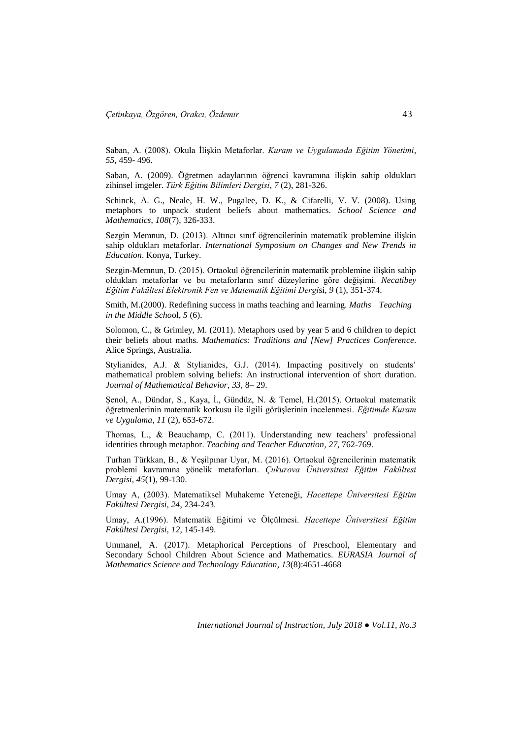Saban, A. (2008). Okula İlişkin Metaforlar. *Kuram ve Uygulamada Eğitim Yönetimi*, *55*, 459- 496.

Saban, A. (2009). Öğretmen adaylarının öğrenci kavramına ilişkin sahip oldukları zihinsel imgeler. *Türk Eğitim Bilimleri Dergisi*, *7* (2), 281-326.

Schinck, A. G., Neale, H. W., Pugalee, D. K., & Cifarelli, V. V. (2008). Using metaphors to unpack student beliefs about mathematics. *School Science and Mathematics*, *108*(7), 326-333.

Sezgin Memnun, D. (2013). Altıncı sınıf öğrencilerinin matematik problemine ilişkin sahip oldukları metaforlar. *International Symposium on Changes and New Trends in Education*. Konya, Turkey.

Sezgin-Memnun, D. (2015). Ortaokul öğrencilerinin matematik problemine ilişkin sahip oldukları metaforlar ve bu metaforların sınıf düzeylerine göre değişimi. *Necatibey Eğitim Fakültesi Elektronik Fen ve Matematik Eğitimi Dergi*si, *9* (1), 351-374.

Smith, M.(2000). Redefining success in maths teaching and learning. *Maths Teaching in the Middle Scho*ol, *5* (6).

Solomon, C., & Grimley, M. (2011). Metaphors used by year 5 and 6 children to depict their beliefs about maths. *Mathematics: Traditions and [New] Practices Conference*. Alice Springs, Australia.

Stylianides, A.J. & Stylianides, G.J. (2014). Impacting positively on students' mathematical problem solving beliefs: An instructional intervention of short duration. *Journal of Mathematical Behavior*, *33*, 8– 29.

Şenol, A., Dündar, S., Kaya, İ., Gündüz, N. & Temel, H.(2015). Ortaokul matematik öğretmenlerinin matematik korkusu ile ilgili görüşlerinin incelenmesi. *Eğitimde Kuram ve Uygulama*, *11* (2), 653-672.

Thomas, L., & Beauchamp, C. (2011). Understanding new teachers' professional identities through metaphor. *Teaching and Teacher Education, 27*, 762-769.

Turhan Türkkan, B., & Yeşilpınar Uyar, M. (2016). Ortaokul öğrencilerinin matematik problemi kavramına yönelik metaforları. *Çukurova Üniversitesi Eğitim Fakültesi Dergisi*, *45*(1), 99-130.

Umay A, (2003). Matematiksel Muhakeme Yeteneği, *Hacettepe Üniversitesi Eğitim Fakültesi Dergisi, 24*, 234-243.

Umay, A.(1996). Matematik Eğitimi ve Ölçülmesi. *Hacettepe Üniversitesi Eğitim Fakültesi Dergisi*, *12*, 145-149.

Ummanel, A. (2017). Metaphorical Perceptions of Preschool, Elementary and Secondary School Children About Science and Mathematics. *EURASIA Journal of Mathematics Science and Technology Education*, *13*(8):4651-4668